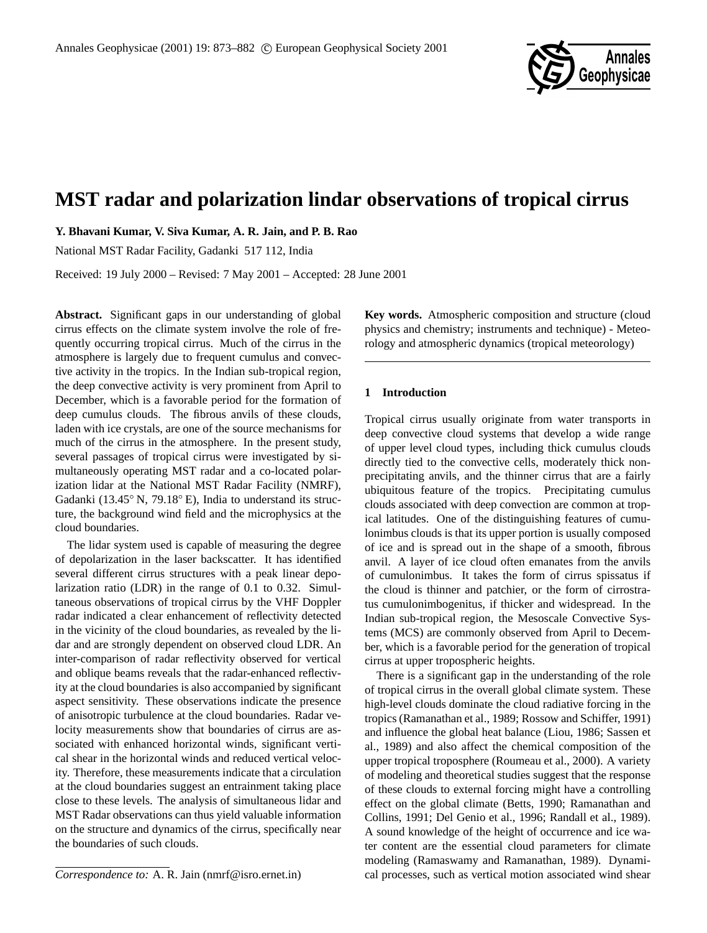

# **MST radar and polarization lindar observations of tropical cirrus**

**Y. Bhavani Kumar, V. Siva Kumar, A. R. Jain, and P. B. Rao**

National MST Radar Facility, Gadanki 517 112, India

Received: 19 July 2000 – Revised: 7 May 2001 – Accepted: 28 June 2001

**Abstract.** Significant gaps in our understanding of global cirrus effects on the climate system involve the role of frequently occurring tropical cirrus. Much of the cirrus in the atmosphere is largely due to frequent cumulus and convective activity in the tropics. In the Indian sub-tropical region, the deep convective activity is very prominent from April to December, which is a favorable period for the formation of deep cumulus clouds. The fibrous anvils of these clouds, laden with ice crystals, are one of the source mechanisms for much of the cirrus in the atmosphere. In the present study, several passages of tropical cirrus were investigated by simultaneously operating MST radar and a co-located polarization lidar at the National MST Radar Facility (NMRF), Gadanki (13.45◦ N, 79.18◦ E), India to understand its structure, the background wind field and the microphysics at the cloud boundaries.

The lidar system used is capable of measuring the degree of depolarization in the laser backscatter. It has identified several different cirrus structures with a peak linear depolarization ratio (LDR) in the range of 0.1 to 0.32. Simultaneous observations of tropical cirrus by the VHF Doppler radar indicated a clear enhancement of reflectivity detected in the vicinity of the cloud boundaries, as revealed by the lidar and are strongly dependent on observed cloud LDR. An inter-comparison of radar reflectivity observed for vertical and oblique beams reveals that the radar-enhanced reflectivity at the cloud boundaries is also accompanied by significant aspect sensitivity. These observations indicate the presence of anisotropic turbulence at the cloud boundaries. Radar velocity measurements show that boundaries of cirrus are associated with enhanced horizontal winds, significant vertical shear in the horizontal winds and reduced vertical velocity. Therefore, these measurements indicate that a circulation at the cloud boundaries suggest an entrainment taking place close to these levels. The analysis of simultaneous lidar and MST Radar observations can thus yield valuable information on the structure and dynamics of the cirrus, specifically near the boundaries of such clouds.

*Correspondence to:* A. R. Jain (nmrf@isro.ernet.in)

**Key words.** Atmospheric composition and structure (cloud physics and chemistry; instruments and technique) - Meteorology and atmospheric dynamics (tropical meteorology)

### **1 Introduction**

Tropical cirrus usually originate from water transports in deep convective cloud systems that develop a wide range of upper level cloud types, including thick cumulus clouds directly tied to the convective cells, moderately thick nonprecipitating anvils, and the thinner cirrus that are a fairly ubiquitous feature of the tropics. Precipitating cumulus clouds associated with deep convection are common at tropical latitudes. One of the distinguishing features of cumulonimbus clouds is that its upper portion is usually composed of ice and is spread out in the shape of a smooth, fibrous anvil. A layer of ice cloud often emanates from the anvils of cumulonimbus. It takes the form of cirrus spissatus if the cloud is thinner and patchier, or the form of cirrostratus cumulonimbogenitus, if thicker and widespread. In the Indian sub-tropical region, the Mesoscale Convective Systems (MCS) are commonly observed from April to December, which is a favorable period for the generation of tropical cirrus at upper tropospheric heights.

There is a significant gap in the understanding of the role of tropical cirrus in the overall global climate system. These high-level clouds dominate the cloud radiative forcing in the tropics (Ramanathan et al., 1989; Rossow and Schiffer, 1991) and influence the global heat balance (Liou, 1986; Sassen et al., 1989) and also affect the chemical composition of the upper tropical troposphere (Roumeau et al., 2000). A variety of modeling and theoretical studies suggest that the response of these clouds to external forcing might have a controlling effect on the global climate (Betts, 1990; Ramanathan and Collins, 1991; Del Genio et al., 1996; Randall et al., 1989). A sound knowledge of the height of occurrence and ice water content are the essential cloud parameters for climate modeling (Ramaswamy and Ramanathan, 1989). Dynamical processes, such as vertical motion associated wind shear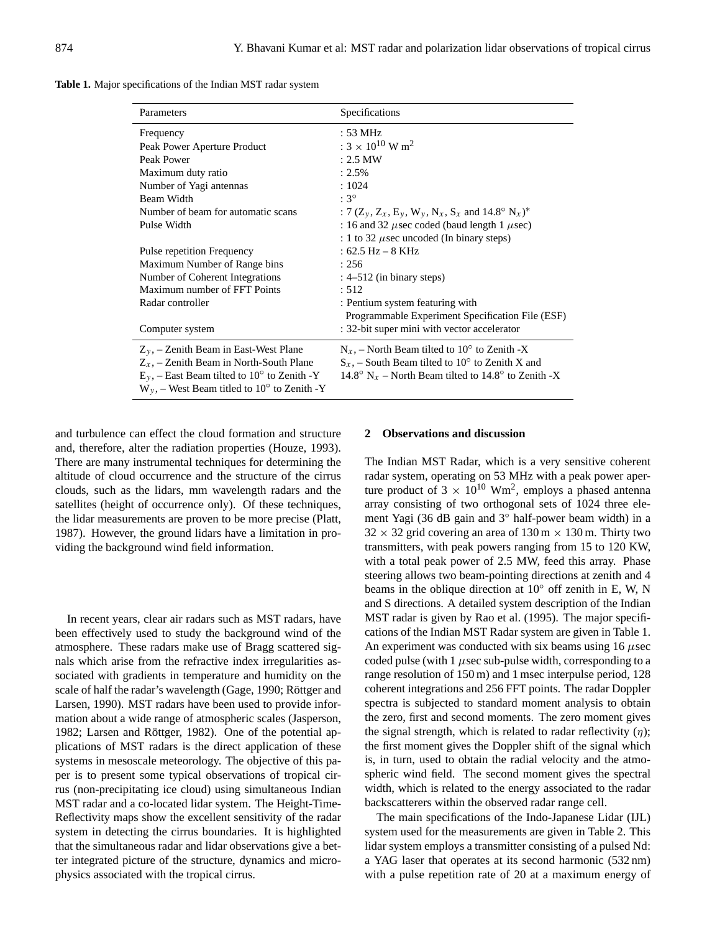**Table 1.** Major specifications of the Indian MST radar system

| Parameters                                                 | Specifications                                                       |
|------------------------------------------------------------|----------------------------------------------------------------------|
| Frequency                                                  | : 53 MHz                                                             |
| Peak Power Aperture Product                                | : $3 \times 10^{10}$ W m <sup>2</sup>                                |
| Peak Power                                                 | $: 2.5$ MW                                                           |
| Maximum duty ratio                                         | $: 2.5\%$                                                            |
| Number of Yagi antennas                                    | : 1024                                                               |
| Beam Width                                                 | $:3^{\circ}$                                                         |
| Number of beam for automatic scans                         | : 7 $(Z_y, Z_x, E_y, W_y, N_x, S_x \text{ and } 14.8^{\circ} N_x)^*$ |
| Pulse Width                                                | : 16 and 32 $\mu$ sec coded (baud length 1 $\mu$ sec)                |
|                                                            | : 1 to 32 $\mu$ sec uncoded (In binary steps)                        |
| Pulse repetition Frequency                                 | : 62.5 Hz – 8 KHz                                                    |
| Maximum Number of Range bins                               | : 256                                                                |
| Number of Coherent Integrations                            | $: 4-512$ (in binary steps)                                          |
| Maximum number of FFT Points                               | : 512                                                                |
| Radar controller                                           | : Pentium system featuring with                                      |
|                                                            | Programmable Experiment Specification File (ESF)                     |
| Computer system                                            | : 32-bit super mini with vector accelerator                          |
| $Z_y$ , – Zenith Beam in East-West Plane                   | $N_x$ , – North Beam tilted to 10 <sup>o</sup> to Zenith -X          |
| $Z_x$ , – Zenith Beam in North-South Plane                 | $S_x$ , – South Beam tilted to 10 <sup>o</sup> to Zenith X and       |
| $E_y$ , – East Beam tilted to 10° to Zenith -Y             | 14.8° N <sub>x</sub> – North Beam tilted to 14.8° to Zenith -X       |
| $W_y$ , – West Beam titled to 10 <sup>o</sup> to Zenith -Y |                                                                      |

and turbulence can effect the cloud formation and structure and, therefore, alter the radiation properties (Houze, 1993). There are many instrumental techniques for determining the altitude of cloud occurrence and the structure of the cirrus clouds, such as the lidars, mm wavelength radars and the satellites (height of occurrence only). Of these techniques, the lidar measurements are proven to be more precise (Platt, 1987). However, the ground lidars have a limitation in providing the background wind field information.

In recent years, clear air radars such as MST radars, have been effectively used to study the background wind of the atmosphere. These radars make use of Bragg scattered signals which arise from the refractive index irregularities associated with gradients in temperature and humidity on the scale of half the radar's wavelength (Gage, 1990; Röttger and Larsen, 1990). MST radars have been used to provide information about a wide range of atmospheric scales (Jasperson, 1982; Larsen and Röttger, 1982). One of the potential applications of MST radars is the direct application of these systems in mesoscale meteorology. The objective of this paper is to present some typical observations of tropical cirrus (non-precipitating ice cloud) using simultaneous Indian MST radar and a co-located lidar system. The Height-Time-Reflectivity maps show the excellent sensitivity of the radar system in detecting the cirrus boundaries. It is highlighted that the simultaneous radar and lidar observations give a better integrated picture of the structure, dynamics and microphysics associated with the tropical cirrus.

# **2 Observations and discussion**

The Indian MST Radar, which is a very sensitive coherent radar system, operating on 53 MHz with a peak power aperture product of  $3 \times 10^{10}$  Wm<sup>2</sup>, employs a phased antenna array consisting of two orthogonal sets of 1024 three element Yagi (36 dB gain and 3◦ half-power beam width) in a  $32 \times 32$  grid covering an area of  $130 \text{ m} \times 130 \text{ m}$ . Thirty two transmitters, with peak powers ranging from 15 to 120 KW, with a total peak power of 2.5 MW, feed this array. Phase steering allows two beam-pointing directions at zenith and 4 beams in the oblique direction at 10◦ off zenith in E, W, N and S directions. A detailed system description of the Indian MST radar is given by Rao et al. (1995). The major specifications of the Indian MST Radar system are given in Table 1. An experiment was conducted with six beams using  $16 \mu$ sec coded pulse (with 1  $\mu$ sec sub-pulse width, corresponding to a range resolution of 150 m) and 1 msec interpulse period, 128 coherent integrations and 256 FFT points. The radar Doppler spectra is subjected to standard moment analysis to obtain the zero, first and second moments. The zero moment gives the signal strength, which is related to radar reflectivity  $(η)$ ; the first moment gives the Doppler shift of the signal which is, in turn, used to obtain the radial velocity and the atmospheric wind field. The second moment gives the spectral width, which is related to the energy associated to the radar backscatterers within the observed radar range cell.

The main specifications of the Indo-Japanese Lidar (IJL) system used for the measurements are given in Table 2. This lidar system employs a transmitter consisting of a pulsed Nd: a YAG laser that operates at its second harmonic (532 nm) with a pulse repetition rate of 20 at a maximum energy of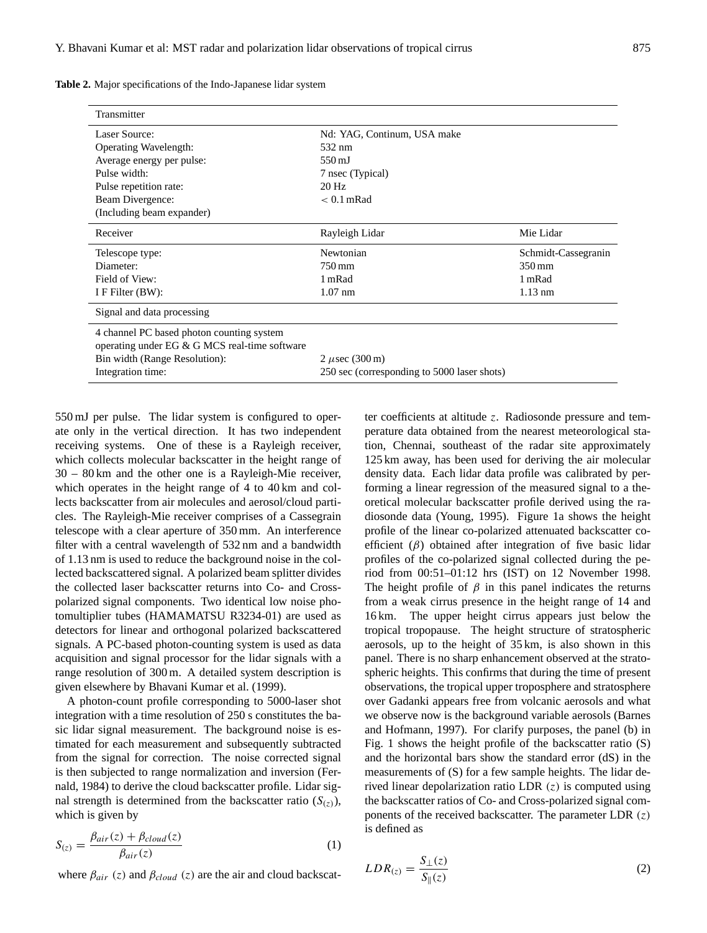| Transmitter                                   |                                             |                     |  |
|-----------------------------------------------|---------------------------------------------|---------------------|--|
| Laser Source:                                 | Nd: YAG, Continum, USA make                 |                     |  |
| Operating Wavelength:                         | 532 nm                                      |                     |  |
| Average energy per pulse:                     | $550 \,\mathrm{mJ}$                         |                     |  |
| Pulse width:                                  | 7 nsec (Typical)                            |                     |  |
| Pulse repetition rate:                        | $20$ Hz                                     |                     |  |
| Beam Divergence:                              | $< 0.1$ mRad                                |                     |  |
| (Including beam expander)                     |                                             |                     |  |
| Receiver                                      | Rayleigh Lidar                              | Mie Lidar           |  |
| Telescope type:                               | Newtonian                                   | Schmidt-Cassegranin |  |
| Diameter:                                     | 750 mm                                      | 350 mm              |  |
| Field of View:                                | 1 mRad                                      | 1 mRad              |  |
| I F Filter $(BW)$ :                           | $1.07$ nm                                   | $1.13 \text{ nm}$   |  |
| Signal and data processing                    |                                             |                     |  |
| 4 channel PC based photon counting system     |                                             |                     |  |
| operating under EG & G MCS real-time software |                                             |                     |  |
| Bin width (Range Resolution):                 | 2 $\mu$ sec (300 m)                         |                     |  |
| Integration time:                             | 250 sec (corresponding to 5000 laser shots) |                     |  |

**Table 2.** Major specifications of the Indo-Japanese lidar system

550 mJ per pulse. The lidar system is configured to operate only in the vertical direction. It has two independent receiving systems. One of these is a Rayleigh receiver, which collects molecular backscatter in the height range of 30 – 80 km and the other one is a Rayleigh-Mie receiver, which operates in the height range of 4 to 40 km and collects backscatter from air molecules and aerosol/cloud particles. The Rayleigh-Mie receiver comprises of a Cassegrain telescope with a clear aperture of 350 mm. An interference filter with a central wavelength of 532 nm and a bandwidth of 1.13 nm is used to reduce the background noise in the collected backscattered signal. A polarized beam splitter divides the collected laser backscatter returns into Co- and Crosspolarized signal components. Two identical low noise photomultiplier tubes (HAMAMATSU R3234-01) are used as detectors for linear and orthogonal polarized backscattered signals. A PC-based photon-counting system is used as data acquisition and signal processor for the lidar signals with a range resolution of 300 m. A detailed system description is given elsewhere by Bhavani Kumar et al. (1999).

A photon-count profile corresponding to 5000-laser shot integration with a time resolution of 250 s constitutes the basic lidar signal measurement. The background noise is estimated for each measurement and subsequently subtracted from the signal for correction. The noise corrected signal is then subjected to range normalization and inversion (Fernald, 1984) to derive the cloud backscatter profile. Lidar signal strength is determined from the backscatter ratio  $(S_{(z)})$ , which is given by

$$
S_{(z)} = \frac{\beta_{air}(z) + \beta_{cloud}(z)}{\beta_{air}(z)}
$$
(1)

where  $\beta_{air}$  (z) and  $\beta_{cloud}$  (z) are the air and cloud backscat-

ter coefficients at altitude z. Radiosonde pressure and temperature data obtained from the nearest meteorological station, Chennai, southeast of the radar site approximately 125 km away, has been used for deriving the air molecular density data. Each lidar data profile was calibrated by performing a linear regression of the measured signal to a theoretical molecular backscatter profile derived using the radiosonde data (Young, 1995). Figure 1a shows the height profile of the linear co-polarized attenuated backscatter coefficient  $(\beta)$  obtained after integration of five basic lidar profiles of the co-polarized signal collected during the period from 00:51–01:12 hrs (IST) on 12 November 1998. The height profile of  $\beta$  in this panel indicates the returns from a weak cirrus presence in the height range of 14 and 16 km. The upper height cirrus appears just below the tropical tropopause. The height structure of stratospheric aerosols, up to the height of 35 km, is also shown in this panel. There is no sharp enhancement observed at the stratospheric heights. This confirms that during the time of present observations, the tropical upper troposphere and stratosphere over Gadanki appears free from volcanic aerosols and what we observe now is the background variable aerosols (Barnes and Hofmann, 1997). For clarify purposes, the panel (b) in Fig. 1 shows the height profile of the backscatter ratio (S) and the horizontal bars show the standard error (dS) in the measurements of (S) for a few sample heights. The lidar derived linear depolarization ratio LDR  $(z)$  is computed using the backscatter ratios of Co- and Cross-polarized signal components of the received backscatter. The parameter LDR  $(z)$ is defined as

$$
LDR_{(z)} = \frac{S_{\perp}(z)}{S_{\parallel}(z)}\tag{2}
$$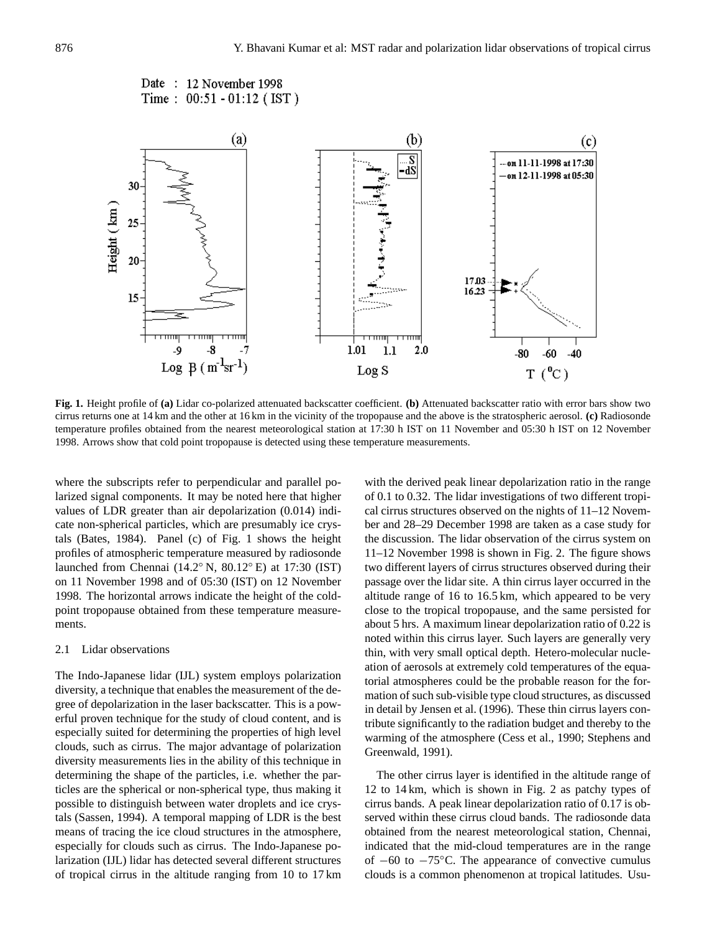```
Date: 12 November 1998
Time: 00:51 - 01:12 (IST)
```


**Fig. 1.** Height profile of **(a)** Lidar co-polarized attenuated backscatter coefficient. **(b)** Attenuated backscatter ratio with error bars show two cirrus returns one at 14 km and the other at 16 km in the vicinity of the tropopause and the above is the stratospheric aerosol. **(c)** Radiosonde temperature profiles obtained from the nearest meteorological station at 17:30 h IST on 11 November and 05:30 h IST on 12 November 1998. Arrows show that cold point tropopause is detected using these temperature measurements.

where the subscripts refer to perpendicular and parallel polarized signal components. It may be noted here that higher values of LDR greater than air depolarization (0.014) indicate non-spherical particles, which are presumably ice crystals (Bates, 1984). Panel (c) of Fig. 1 shows the height profiles of atmospheric temperature measured by radiosonde launched from Chennai (14.2◦ N, 80.12◦ E) at 17:30 (IST) on 11 November 1998 and of 05:30 (IST) on 12 November 1998. The horizontal arrows indicate the height of the coldpoint tropopause obtained from these temperature measurements.

#### 2.1 Lidar observations

The Indo-Japanese lidar (IJL) system employs polarization diversity, a technique that enables the measurement of the degree of depolarization in the laser backscatter. This is a powerful proven technique for the study of cloud content, and is especially suited for determining the properties of high level clouds, such as cirrus. The major advantage of polarization diversity measurements lies in the ability of this technique in determining the shape of the particles, i.e. whether the particles are the spherical or non-spherical type, thus making it possible to distinguish between water droplets and ice crystals (Sassen, 1994). A temporal mapping of LDR is the best means of tracing the ice cloud structures in the atmosphere, especially for clouds such as cirrus. The Indo-Japanese polarization (IJL) lidar has detected several different structures of tropical cirrus in the altitude ranging from 10 to 17 km with the derived peak linear depolarization ratio in the range of 0.1 to 0.32. The lidar investigations of two different tropical cirrus structures observed on the nights of 11–12 November and 28–29 December 1998 are taken as a case study for the discussion. The lidar observation of the cirrus system on 11–12 November 1998 is shown in Fig. 2. The figure shows two different layers of cirrus structures observed during their passage over the lidar site. A thin cirrus layer occurred in the altitude range of 16 to 16.5 km, which appeared to be very close to the tropical tropopause, and the same persisted for about 5 hrs. A maximum linear depolarization ratio of 0.22 is noted within this cirrus layer. Such layers are generally very thin, with very small optical depth. Hetero-molecular nucleation of aerosols at extremely cold temperatures of the equatorial atmospheres could be the probable reason for the formation of such sub-visible type cloud structures, as discussed in detail by Jensen et al. (1996). These thin cirrus layers contribute significantly to the radiation budget and thereby to the warming of the atmosphere (Cess et al., 1990; Stephens and Greenwald, 1991).

The other cirrus layer is identified in the altitude range of 12 to 14 km, which is shown in Fig. 2 as patchy types of cirrus bands. A peak linear depolarization ratio of 0.17 is observed within these cirrus cloud bands. The radiosonde data obtained from the nearest meteorological station, Chennai, indicated that the mid-cloud temperatures are in the range of  $-60$  to  $-75^{\circ}$ C. The appearance of convective cumulus clouds is a common phenomenon at tropical latitudes. Usu-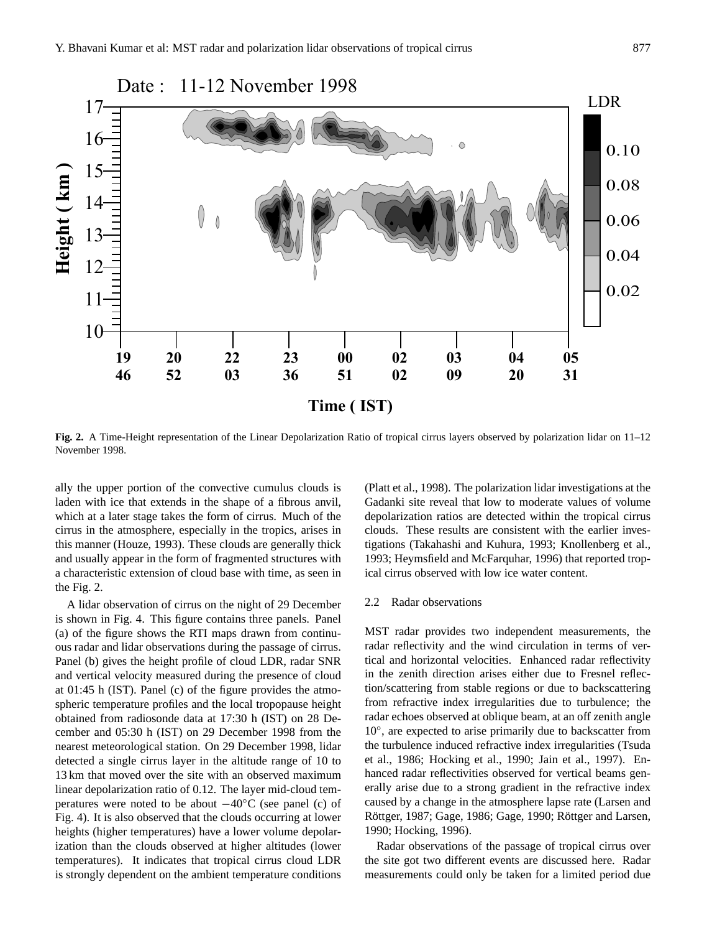

**Fig. 2.** A Time-Height representation of the Linear Depolarization Ratio of tropical cirrus layers observed by polarization lidar on 11–12 November 1998.

ally the upper portion of the convective cumulus clouds is laden with ice that extends in the shape of a fibrous anvil, which at a later stage takes the form of cirrus. Much of the cirrus in the atmosphere, especially in the tropics, arises in this manner (Houze, 1993). These clouds are generally thick and usually appear in the form of fragmented structures with a characteristic extension of cloud base with time, as seen in the Fig. 2.

A lidar observation of cirrus on the night of 29 December is shown in Fig. 4. This figure contains three panels. Panel (a) of the figure shows the RTI maps drawn from continuous radar and lidar observations during the passage of cirrus. Panel (b) gives the height profile of cloud LDR, radar SNR and vertical velocity measured during the presence of cloud at 01:45 h (IST). Panel (c) of the figure provides the atmospheric temperature profiles and the local tropopause height obtained from radiosonde data at 17:30 h (IST) on 28 December and 05:30 h (IST) on 29 December 1998 from the nearest meteorological station. On 29 December 1998, lidar detected a single cirrus layer in the altitude range of 10 to 13 km that moved over the site with an observed maximum linear depolarization ratio of 0.12. The layer mid-cloud temperatures were noted to be about −40◦C (see panel (c) of Fig. 4). It is also observed that the clouds occurring at lower heights (higher temperatures) have a lower volume depolarization than the clouds observed at higher altitudes (lower temperatures). It indicates that tropical cirrus cloud LDR is strongly dependent on the ambient temperature conditions

(Platt et al., 1998). The polarization lidar investigations at the Gadanki site reveal that low to moderate values of volume depolarization ratios are detected within the tropical cirrus clouds. These results are consistent with the earlier investigations (Takahashi and Kuhura, 1993; Knollenberg et al., 1993; Heymsfield and McFarquhar, 1996) that reported tropical cirrus observed with low ice water content.

# 2.2 Radar observations

MST radar provides two independent measurements, the radar reflectivity and the wind circulation in terms of vertical and horizontal velocities. Enhanced radar reflectivity in the zenith direction arises either due to Fresnel reflection/scattering from stable regions or due to backscattering from refractive index irregularities due to turbulence; the radar echoes observed at oblique beam, at an off zenith angle 10°, are expected to arise primarily due to backscatter from the turbulence induced refractive index irregularities (Tsuda et al., 1986; Hocking et al., 1990; Jain et al., 1997). Enhanced radar reflectivities observed for vertical beams generally arise due to a strong gradient in the refractive index caused by a change in the atmosphere lapse rate (Larsen and Röttger, 1987; Gage, 1986; Gage, 1990; Röttger and Larsen, 1990; Hocking, 1996).

Radar observations of the passage of tropical cirrus over the site got two different events are discussed here. Radar measurements could only be taken for a limited period due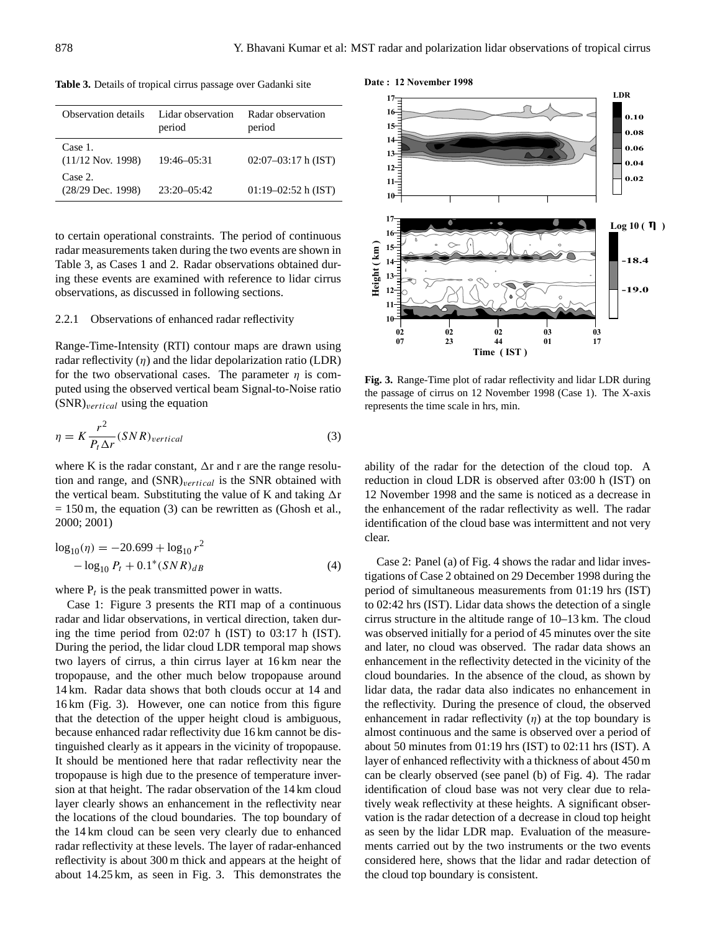| Observation details            | Lidar observation<br>period | Radar observation<br>period |
|--------------------------------|-----------------------------|-----------------------------|
| Case 1.<br>$(11/12$ Nov. 1998) | 19:46-05:31                 | $02:07-03:17$ h (IST)       |
| Case 2.<br>$(28/29$ Dec. 1998) | $23:20 - 05:42$             | $01:19-02:52$ h (IST)       |

**Table 3.** Details of tropical cirrus passage over Gadanki site

to certain operational constraints. The period of continuous radar measurements taken during the two events are shown in Table 3, as Cases 1 and 2. Radar observations obtained during these events are examined with reference to lidar cirrus observations, as discussed in following sections.

#### 2.2.1 Observations of enhanced radar reflectivity

Range-Time-Intensity (RTI) contour maps are drawn using radar reflectivity  $(\eta)$  and the lidar depolarization ratio (LDR) for the two observational cases. The parameter  $\eta$  is computed using the observed vertical beam Signal-to-Noise ratio  $(SNR)_{vertical}$  using the equation

$$
\eta = K \frac{r^2}{P_t \Delta r} (SNR)_{vertical} \tag{3}
$$

where K is the radar constant,  $\Delta r$  and r are the range resolution and range, and  $(SNR)_{vertical}$  is the SNR obtained with the vertical beam. Substituting the value of K and taking  $\Delta r$  $= 150$  m, the equation (3) can be rewritten as (Ghosh et al., 2000; 2001)

$$
\log_{10}(\eta) = -20.699 + \log_{10} r^2
$$
  
- 
$$
\log_{10} P_t + 0.1^*(SNR)_{dB}
$$
 (4)

where  $P_t$  is the peak transmitted power in watts.

Case 1: Figure 3 presents the RTI map of a continuous radar and lidar observations, in vertical direction, taken during the time period from 02:07 h (IST) to 03:17 h (IST). During the period, the lidar cloud LDR temporal map shows two layers of cirrus, a thin cirrus layer at 16 km near the tropopause, and the other much below tropopause around 14 km. Radar data shows that both clouds occur at 14 and 16 km (Fig. 3). However, one can notice from this figure that the detection of the upper height cloud is ambiguous, because enhanced radar reflectivity due 16 km cannot be distinguished clearly as it appears in the vicinity of tropopause. It should be mentioned here that radar reflectivity near the tropopause is high due to the presence of temperature inversion at that height. The radar observation of the 14 km cloud layer clearly shows an enhancement in the reflectivity near the locations of the cloud boundaries. The top boundary of the 14 km cloud can be seen very clearly due to enhanced radar reflectivity at these levels. The layer of radar-enhanced reflectivity is about 300 m thick and appears at the height of about 14.25 km, as seen in Fig. 3. This demonstrates the



**Fig. 3.** Range-Time plot of radar reflectivity and lidar LDR during the passage of cirrus on 12 November 1998 (Case 1). The X-axis represents the time scale in hrs, min.

ability of the radar for the detection of the cloud top. A reduction in cloud LDR is observed after 03:00 h (IST) on 12 November 1998 and the same is noticed as a decrease in the enhancement of the radar reflectivity as well. The radar identification of the cloud base was intermittent and not very clear.

Case 2: Panel (a) of Fig. 4 shows the radar and lidar investigations of Case 2 obtained on 29 December 1998 during the period of simultaneous measurements from 01:19 hrs (IST) to 02:42 hrs (IST). Lidar data shows the detection of a single cirrus structure in the altitude range of 10–13 km. The cloud was observed initially for a period of 45 minutes over the site and later, no cloud was observed. The radar data shows an enhancement in the reflectivity detected in the vicinity of the cloud boundaries. In the absence of the cloud, as shown by lidar data, the radar data also indicates no enhancement in the reflectivity. During the presence of cloud, the observed enhancement in radar reflectivity  $(\eta)$  at the top boundary is almost continuous and the same is observed over a period of about 50 minutes from 01:19 hrs (IST) to 02:11 hrs (IST). A layer of enhanced reflectivity with a thickness of about 450 m can be clearly observed (see panel (b) of Fig. 4). The radar identification of cloud base was not very clear due to relatively weak reflectivity at these heights. A significant observation is the radar detection of a decrease in cloud top height as seen by the lidar LDR map. Evaluation of the measurements carried out by the two instruments or the two events considered here, shows that the lidar and radar detection of the cloud top boundary is consistent.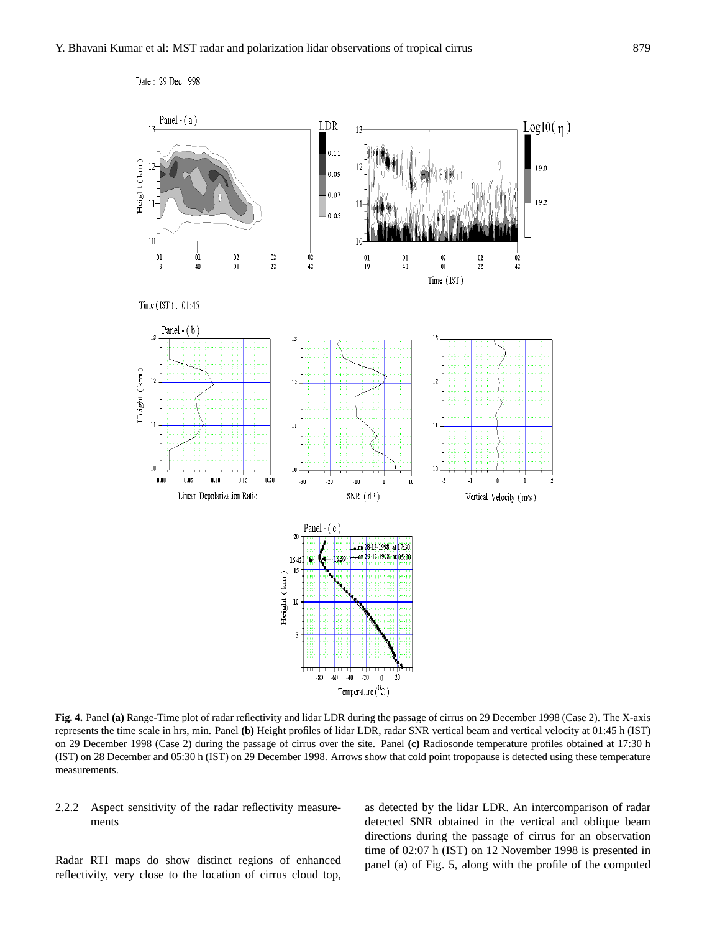

**Fig. 4.** Panel **(a)** Range-Time plot of radar reflectivity and lidar LDR during the passage of cirrus on 29 December 1998 (Case 2). The X-axis represents the time scale in hrs, min. Panel **(b)** Height profiles of lidar LDR, radar SNR vertical beam and vertical velocity at 01:45 h (IST) on 29 December 1998 (Case 2) during the passage of cirrus over the site. Panel **(c)** Radiosonde temperature profiles obtained at 17:30 h (IST) on 28 December and 05:30 h (IST) on 29 December 1998. Arrows show that cold point tropopause is detected using these temperature measurements.

# 2.2.2 Aspect sensitivity of the radar reflectivity measurements

Radar RTI maps do show distinct regions of enhanced reflectivity, very close to the location of cirrus cloud top, as detected by the lidar LDR. An intercomparison of radar detected SNR obtained in the vertical and oblique beam directions during the passage of cirrus for an observation time of 02:07 h (IST) on 12 November 1998 is presented in panel (a) of Fig. 5, along with the profile of the computed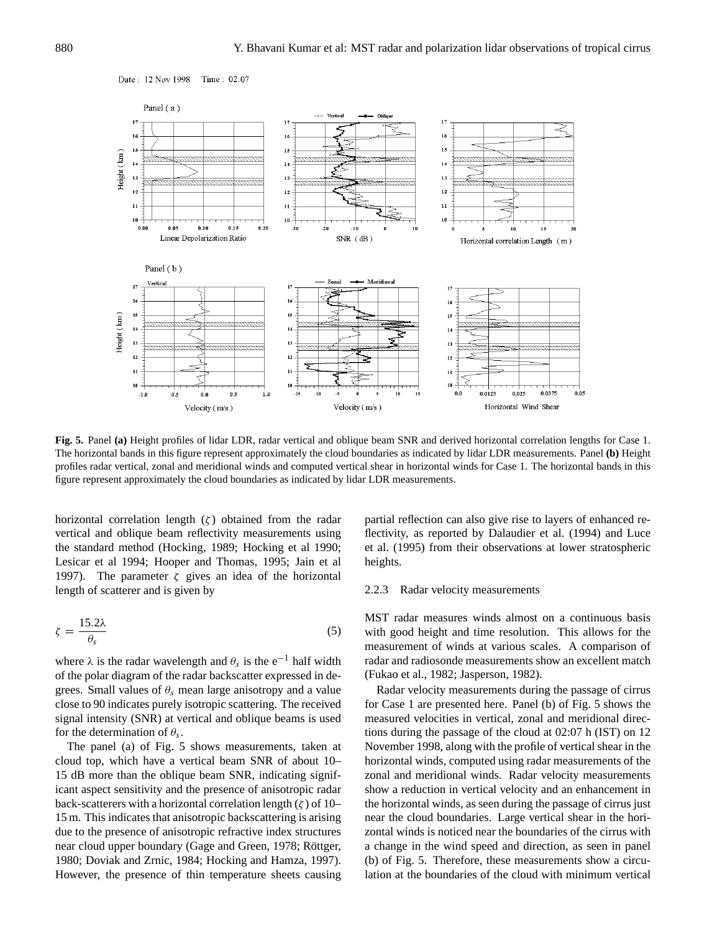

**Fig. 5.** Panel **(a)** Height profiles of lidar LDR, radar vertical and oblique beam SNR and derived horizontal correlation lengths for Case 1. The horizontal bands in this figure represent approximately the cloud boundaries as indicated by lidar LDR measurements. Panel **(b)** Height profiles radar vertical, zonal and meridional winds and computed vertical shear in horizontal winds for Case 1. The horizontal bands in this figure represent approximately the cloud boundaries as indicated by lidar LDR measurements.

horizontal correlation length  $(\zeta)$  obtained from the radar vertical and oblique beam reflectivity measurements using the standard method (Hocking, 1989; Hocking et al 1990; Lesicar et al 1994; Hooper and Thomas, 1995; Jain et al 1997). The parameter  $\zeta$  gives an idea of the horizontal length of scatterer and is given by

$$
\zeta = \frac{15.2\lambda}{\theta_s} \tag{5}
$$

where  $\lambda$  is the radar wavelength and  $\theta_s$  is the e<sup>-1</sup> half width of the polar diagram of the radar backscatter expressed in degrees. Small values of  $\theta_s$  mean large anisotropy and a value close to 90 indicates purely isotropic scattering. The received signal intensity (SNR) at vertical and oblique beams is used for the determination of  $\theta_s$ .

The panel (a) of Fig. 5 shows measurements, taken at cloud top, which have a vertical beam SNR of about 10– 15 dB more than the oblique beam SNR, indicating significant aspect sensitivity and the presence of anisotropic radar back-scatterers with a horizontal correlation length  $(\zeta)$  of 10– 15 m. This indicates that anisotropic backscattering is arising due to the presence of anisotropic refractive index structures near cloud upper boundary (Gage and Green, 1978; Röttger, 1980; Doviak and Zrnic, 1984; Hocking and Hamza, 1997). However, the presence of thin temperature sheets causing partial reflection can also give rise to layers of enhanced reflectivity, as reported by Dalaudier et al. (1994) and Luce et al. (1995) from their observations at lower stratospheric heights.

#### 2.2.3 Radar velocity measurements

MST radar measures winds almost on a continuous basis with good height and time resolution. This allows for the measurement of winds at various scales. A comparison of radar and radiosonde measurements show an excellent match (Fukao et al., 1982; Jasperson, 1982).

Radar velocity measurements during the passage of cirrus for Case 1 are presented here. Panel (b) of Fig. 5 shows the measured velocities in vertical, zonal and meridional directions during the passage of the cloud at 02:07 h (IST) on 12 November 1998, along with the profile of vertical shear in the horizontal winds, computed using radar measurements of the zonal and meridional winds. Radar velocity measurements show a reduction in vertical velocity and an enhancement in the horizontal winds, as seen during the passage of cirrus just near the cloud boundaries. Large vertical shear in the horizontal winds is noticed near the boundaries of the cirrus with a change in the wind speed and direction, as seen in panel (b) of Fig. 5. Therefore, these measurements show a circulation at the boundaries of the cloud with minimum vertical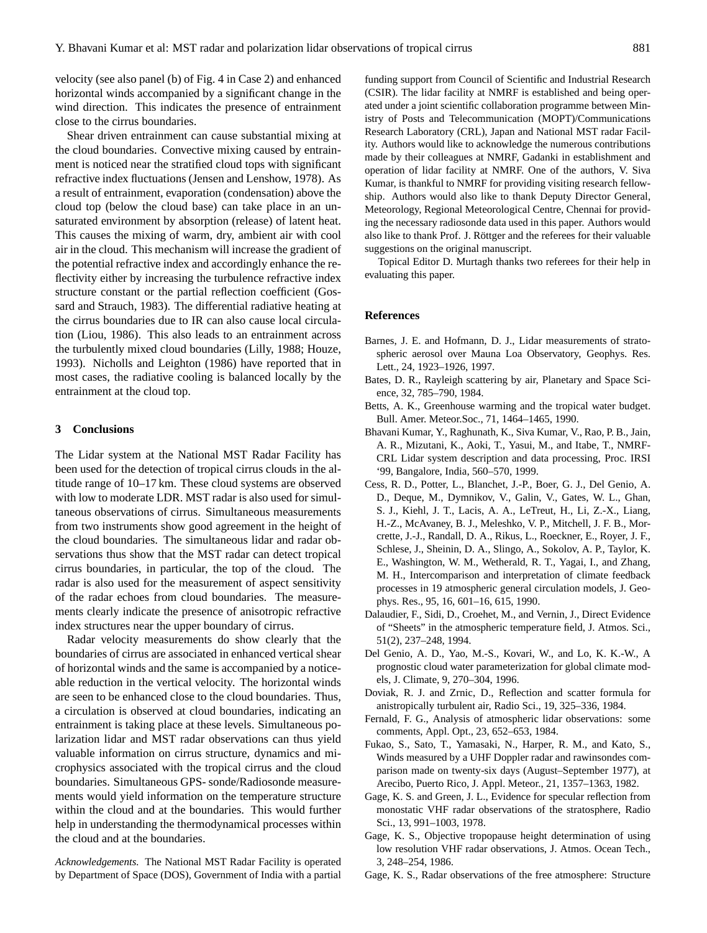velocity (see also panel (b) of Fig. 4 in Case 2) and enhanced horizontal winds accompanied by a significant change in the wind direction. This indicates the presence of entrainment close to the cirrus boundaries.

Shear driven entrainment can cause substantial mixing at the cloud boundaries. Convective mixing caused by entrainment is noticed near the stratified cloud tops with significant refractive index fluctuations (Jensen and Lenshow, 1978). As a result of entrainment, evaporation (condensation) above the cloud top (below the cloud base) can take place in an unsaturated environment by absorption (release) of latent heat. This causes the mixing of warm, dry, ambient air with cool air in the cloud. This mechanism will increase the gradient of the potential refractive index and accordingly enhance the reflectivity either by increasing the turbulence refractive index structure constant or the partial reflection coefficient (Gossard and Strauch, 1983). The differential radiative heating at the cirrus boundaries due to IR can also cause local circulation (Liou, 1986). This also leads to an entrainment across the turbulently mixed cloud boundaries (Lilly, 1988; Houze, 1993). Nicholls and Leighton (1986) have reported that in most cases, the radiative cooling is balanced locally by the entrainment at the cloud top.

## **3 Conclusions**

The Lidar system at the National MST Radar Facility has been used for the detection of tropical cirrus clouds in the altitude range of 10–17 km. These cloud systems are observed with low to moderate LDR. MST radar is also used for simultaneous observations of cirrus. Simultaneous measurements from two instruments show good agreement in the height of the cloud boundaries. The simultaneous lidar and radar observations thus show that the MST radar can detect tropical cirrus boundaries, in particular, the top of the cloud. The radar is also used for the measurement of aspect sensitivity of the radar echoes from cloud boundaries. The measurements clearly indicate the presence of anisotropic refractive index structures near the upper boundary of cirrus.

Radar velocity measurements do show clearly that the boundaries of cirrus are associated in enhanced vertical shear of horizontal winds and the same is accompanied by a noticeable reduction in the vertical velocity. The horizontal winds are seen to be enhanced close to the cloud boundaries. Thus, a circulation is observed at cloud boundaries, indicating an entrainment is taking place at these levels. Simultaneous polarization lidar and MST radar observations can thus yield valuable information on cirrus structure, dynamics and microphysics associated with the tropical cirrus and the cloud boundaries. Simultaneous GPS- sonde/Radiosonde measurements would yield information on the temperature structure within the cloud and at the boundaries. This would further help in understanding the thermodynamical processes within the cloud and at the boundaries.

*Acknowledgements.* The National MST Radar Facility is operated by Department of Space (DOS), Government of India with a partial funding support from Council of Scientific and Industrial Research (CSIR). The lidar facility at NMRF is established and being operated under a joint scientific collaboration programme between Ministry of Posts and Telecommunication (MOPT)/Communications Research Laboratory (CRL), Japan and National MST radar Facility. Authors would like to acknowledge the numerous contributions made by their colleagues at NMRF, Gadanki in establishment and operation of lidar facility at NMRF. One of the authors, V. Siva Kumar, is thankful to NMRF for providing visiting research fellowship. Authors would also like to thank Deputy Director General, Meteorology, Regional Meteorological Centre, Chennai for providing the necessary radiosonde data used in this paper. Authors would also like to thank Prof. J. Röttger and the referees for their valuable suggestions on the original manuscript.

Topical Editor D. Murtagh thanks two referees for their help in evaluating this paper.

#### **References**

- Barnes, J. E. and Hofmann, D. J., Lidar measurements of stratospheric aerosol over Mauna Loa Observatory, Geophys. Res. Lett., 24, 1923–1926, 1997.
- Bates, D. R., Rayleigh scattering by air, Planetary and Space Science, 32, 785–790, 1984.
- Betts, A. K., Greenhouse warming and the tropical water budget. Bull. Amer. Meteor.Soc., 71, 1464–1465, 1990.
- Bhavani Kumar, Y., Raghunath, K., Siva Kumar, V., Rao, P. B., Jain, A. R., Mizutani, K., Aoki, T., Yasui, M., and Itabe, T., NMRF-CRL Lidar system description and data processing, Proc. IRSI '99, Bangalore, India, 560–570, 1999.
- Cess, R. D., Potter, L., Blanchet, J.-P., Boer, G. J., Del Genio, A. D., Deque, M., Dymnikov, V., Galin, V., Gates, W. L., Ghan, S. J., Kiehl, J. T., Lacis, A. A., LeTreut, H., Li, Z.-X., Liang, H.-Z., McAvaney, B. J., Meleshko, V. P., Mitchell, J. F. B., Morcrette, J.-J., Randall, D. A., Rikus, L., Roeckner, E., Royer, J. F., Schlese, J., Sheinin, D. A., Slingo, A., Sokolov, A. P., Taylor, K. E., Washington, W. M., Wetherald, R. T., Yagai, I., and Zhang, M. H., Intercomparison and interpretation of climate feedback processes in 19 atmospheric general circulation models, J. Geophys. Res., 95, 16, 601–16, 615, 1990.
- Dalaudier, F., Sidi, D., Croehet, M., and Vernin, J., Direct Evidence of "Sheets" in the atmospheric temperature field, J. Atmos. Sci., 51(2), 237–248, 1994.
- Del Genio, A. D., Yao, M.-S., Kovari, W., and Lo, K. K.-W., A prognostic cloud water parameterization for global climate models, J. Climate, 9, 270–304, 1996.
- Doviak, R. J. and Zrnic, D., Reflection and scatter formula for anistropically turbulent air, Radio Sci., 19, 325–336, 1984.
- Fernald, F. G., Analysis of atmospheric lidar observations: some comments, Appl. Opt., 23, 652–653, 1984.
- Fukao, S., Sato, T., Yamasaki, N., Harper, R. M., and Kato, S., Winds measured by a UHF Doppler radar and rawinsondes comparison made on twenty-six days (August–September 1977), at Arecibo, Puerto Rico, J. Appl. Meteor., 21, 1357–1363, 1982.
- Gage, K. S. and Green, J. L., Evidence for specular reflection from monostatic VHF radar observations of the stratosphere, Radio Sci., 13, 991–1003, 1978.
- Gage, K. S., Objective tropopause height determination of using low resolution VHF radar observations, J. Atmos. Ocean Tech., 3, 248–254, 1986.
- Gage, K. S., Radar observations of the free atmosphere: Structure